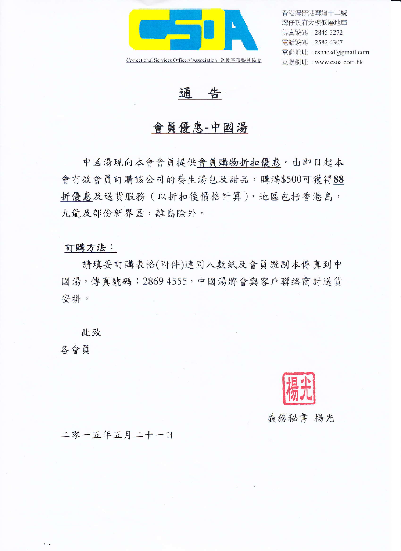

Correctional Services Officers'Association 懲教事務職員協會

香港灣仔港灣道十二號 灣仔政府大樓低層地庫 傳真號碼: 2845 3272 電話號碼: 2582 4307 電郵地址: csoacsd@gmail.com 互聯網址: www.csoa.com.hk

诵 告

## 會員優惠-中國湯

中國湯現向本會會員提供會員購物折扣優惠。由即日起本 會有效會員訂購該公司的養生湯包及甜品,購滿\$500可獲得88 折優惠及送貨服務(以折扣後價格計算),地區包括香港島, 九龍及部份新界區,離島除外。

## 訂購方法:

請填妥訂購表格(附件)連同入數紙及會員證副本傳真到中 國湯,傳真號碼: 2869 4555, 中國湯將會與客戶聯絡商討送貨 安排。

此致

各會員

. .

義務秘書 楊光

二零一五年五月二十一日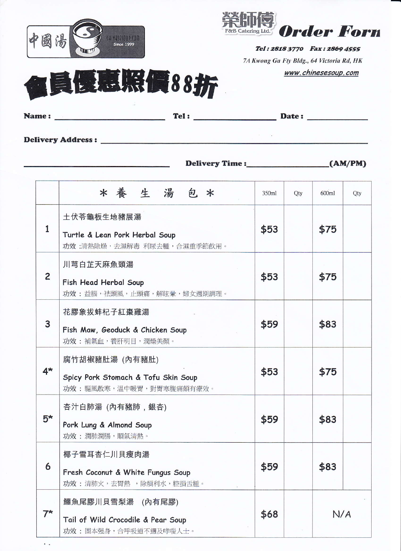



Tel: 2818 3770 Fax: 2869 4555 7A Kwong Ga Fty Bldg., 64 Victoria Rd, HK www.chinesesoup.com



| <b>Name:</b>             | Tel: | Date: |  |
|--------------------------|------|-------|--|
|                          |      |       |  |
| <b>Delivery Address:</b> |      |       |  |

**Delivery Time:** 

 $(AM/PM)$ 

|                | * 養生湯包*                                                                          | 350ml | Qty | 600ml | Qty |
|----------------|----------------------------------------------------------------------------------|-------|-----|-------|-----|
| 1              | 土伏苓龜板生地豬展湯<br>Turtle & Lean Pork Herbal Soup<br>功效:清熱除燥,去濕解毒 利尿去腫,合濕重季節飲用。       |       |     | \$75  |     |
| $\overline{c}$ | 川芎白芷天麻魚頭湯<br>Fish Head Herbal Soup<br>功效:益腦,祛頭風,止頭痛,解眩暈,婦女週期調理。                  |       |     | \$75  |     |
| 3              | 花膠象拔蚌杞子紅棗雞湯<br>Fish Maw, Geoduck & Chicken Soup<br>功效:補氣血,養肝明目,潤燥美顏。             | \$59  |     | \$83  |     |
| $4*$           | 腐竹胡椒豬肚湯 (內有豬肚)<br>Spicy Pork Stomach & Tofu Skin Soup<br>功效:驅風散寒,温中暖胃,對胃寒腹痛頗有療效。 | \$53  |     | \$75  |     |
| $5*$           | 杏汁白肺湯 (內有豬肺,銀杏)<br>Pork Lung & Almond Soup<br>功效:潤肺潤腸,順氣清熱。                      | \$59  |     | \$83  |     |
| 6              | 椰子雪耳杏仁川貝瘦肉湯<br>Fresh Coconut & White Fungus Soup<br>功效:清肺火,去胃熱,除煩利水,腔損舌腫。        | \$59  |     | \$83  |     |
| $7^{\star}$    | 鱷魚尾膠川貝雪梨湯 (內有尾膠)<br>Tail of Wild Crocodile & Pear Soup<br>功效:固本强身,合呼吸道不適及哮喘人士。   | \$68  | N/A |       |     |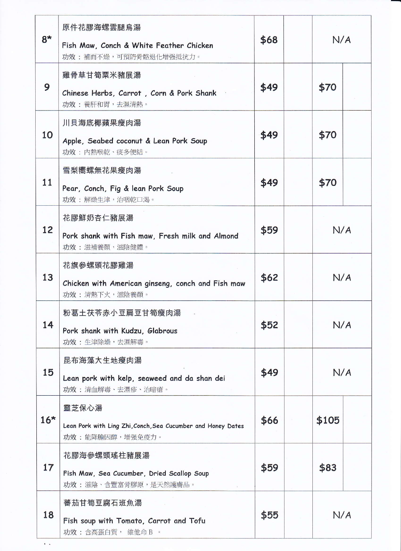| $8*$  | 原件花膠海螺雲腿烏湯<br>Fish Maw, Conch & White Feather Chicken<br>功效:補而不燥,可預防骨骼退化增强抵抗力。           | \$68 |      | N/A   |  |
|-------|------------------------------------------------------------------------------------------|------|------|-------|--|
| 9     | 雞骨草甘筍粟米豬展湯<br>Chinese Herbs, Carrot, Corn & Pork Shank<br>功效:養肝和胃,去濕清熱。                  | \$49 |      | \$70  |  |
| 10    | 川貝海底椰蘋果瘦肉湯<br>Apple, Seabed coconut & Lean Pork Soup<br>功效:内熱喉乾、痰多便結。                    | \$49 |      | \$70  |  |
| 11    | 雪梨嚮螺無花果瘦肉湯<br>Pear, Conch, Fig & lean Pork Soup<br>功效:解燥生津,治咽乾口渴。                        | \$49 | \$70 |       |  |
| 12    | 花膠鮮奶杏仁豬展湯<br>Pork shank with Fish maw, Fresh milk and Almond<br>功效:滋補養顏,滋陰健體。            | \$59 | N/A  |       |  |
| 13    | 花旗參螺頭花膠雞湯<br>Chicken with American ginseng, conch and Fish maw<br>功效:清熱下火,滋陰養顏。          | \$62 |      | N/A   |  |
| 14    | 粉葛土茯苓赤小豆扁豆甘筍瘦肉湯<br>Pork shank with Kudzu, Glabrous<br>功效:生津除燥,去濕解毒。                      | \$52 |      | N/A   |  |
| 15    | 昆布海藻大生地瘦肉湯<br>Lean pork with kelp, seaweed and da shan dei<br>功效:清血解毒、去濕疹、治暗瘡。           | \$49 |      | N/A   |  |
| $16*$ | 靈芝保心湯<br>Lean Pork with Ling Zhi, Conch, Sea Cucumber and Honey Dates<br>功效:能降膽因醇,增强免疫力。 | \$66 |      | \$105 |  |
| 17    | 花膠海參螺頭瑤柱豬展湯<br>Fish Maw, Sea Cucumber, Dried Scallop Soup<br>功效:滋陰、含豐富骨膠原,是天然護膚品。        | \$59 |      | \$83  |  |
| 18    | 蕃茄甘筍豆腐石班魚湯<br>Fish soup with Tomato, Carrot and Tofu<br>功效:含高蛋白質, 維他命B 。                 | \$55 |      | N/A   |  |